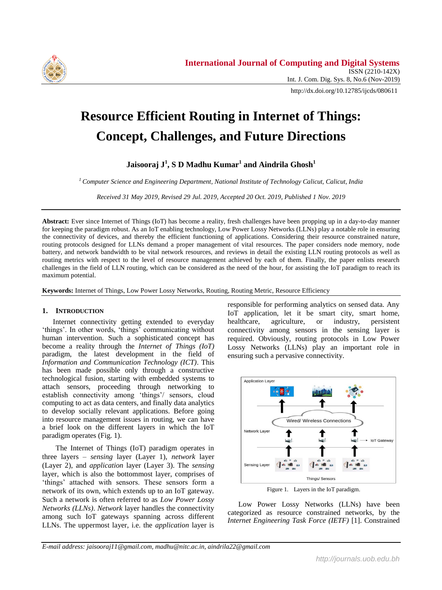

http://dx.doi.org/10.12785/ijcds/080611

# **Resource Efficient Routing in Internet of Things: Concept, Challenges, and Future Directions**

**Jaisooraj J<sup>1</sup> , S D Madhu Kumar<sup>1</sup> and Aindrila Ghosh<sup>1</sup>**

*<sup>1</sup> Computer Science and Engineering Department, National Institute of Technology Calicut, Calicut, India*

*Received 31 May 2019, Revised 29 Jul. 2019, Accepted 20 Oct. 2019, Published 1 Nov. 2019*

**Abstract:** Ever since Internet of Things (IoT) has become a reality, fresh challenges have been propping up in a day-to-day manner for keeping the paradigm robust. As an IoT enabling technology, Low Power Lossy Networks (LLNs) play a notable role in ensuring the connectivity of devices, and thereby the efficient functioning of applications. Considering their resource constrained nature, routing protocols designed for LLNs demand a proper management of vital resources. The paper considers node memory, node battery, and network bandwidth to be vital network resources, and reviews in detail the existing LLN routing protocols as well as routing metrics with respect to the level of resource management achieved by each of them. Finally, the paper enlists research challenges in the field of LLN routing, which can be considered as the need of the hour, for assisting the IoT paradigm to reach its maximum potential.

**Keywords:** Internet of Things, Low Power Lossy Networks, Routing, Routing Metric, Resource Efficiency

#### **1. INTRODUCTION**

Internet connectivity getting extended to everyday 'things'. In other words, 'things' communicating without human intervention. Such a sophisticated concept has become a reality through the *Internet of Things (IoT)* paradigm, the latest development in the field of *Information and Communication Technology (ICT)*. This has been made possible only through a constructive technological fusion, starting with embedded systems to attach sensors, proceeding through networking to establish connectivity among 'things'/ sensors, cloud computing to act as data centers, and finally data analytics to develop socially relevant applications. Before going into resource management issues in routing, we can have a brief look on the different layers in which the IoT paradigm operates (Fig. 1).

The Internet of Things (IoT) paradigm operates in three layers – *sensing* layer (Layer 1), *network* layer (Layer 2), and *application* layer (Layer 3). The *sensing* layer, which is also the bottommost layer, comprises of 'things' attached with sensors. These sensors form a network of its own, which extends up to an IoT gateway. Such a network is often referred to as *Low Power Lossy Networks (LLNs)*. *Network* layer handles the connectivity among such IoT gateways spanning across different LLNs. The uppermost layer, i.e. the *application* layer is

responsible for performing analytics on sensed data. Any IoT application, let it be smart city, smart home, healthcare, agriculture, or industry, persistent connectivity among sensors in the sensing layer is required. Obviously, routing protocols in Low Power Lossy Networks (LLNs) play an important role in ensuring such a pervasive connectivity.



Figure 1. Layers in the IoT paradigm.

Low Power Lossy Networks (LLNs) have been categorized as resource constrained networks, by the *Internet Engineering Task Force (IETF)* [1]. Constrained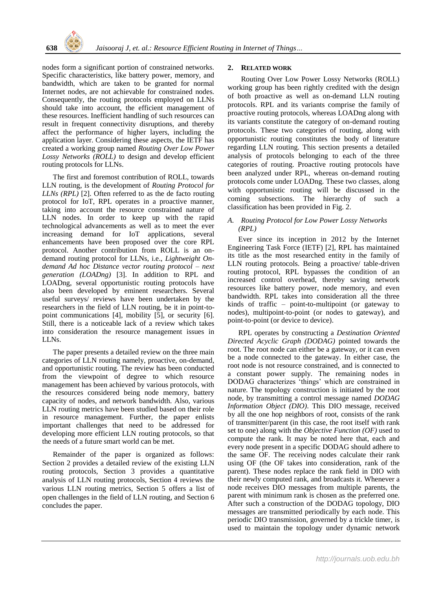nodes form a significant portion of constrained networks. Specific characteristics, like battery power, memory, and bandwidth, which are taken to be granted for normal Internet nodes, are not achievable for constrained nodes. Consequently, the routing protocols employed on LLNs should take into account, the efficient management of these resources. Inefficient handling of such resources can result in frequent connectivity disruptions, and thereby affect the performance of higher layers, including the application layer. Considering these aspects, the IETF has created a working group named *Routing Over Low Power Lossy Networks (ROLL)* to design and develop efficient routing protocols for LLNs.

The first and foremost contribution of ROLL, towards LLN routing, is the development of *Routing Protocol for LLNs (RPL)* [2]. Often referred to as the de facto routing protocol for IoT, RPL operates in a proactive manner, taking into account the resource constrained nature of LLN nodes. In order to keep up with the rapid technological advancements as well as to meet the ever increasing demand for IoT applications, several enhancements have been proposed over the core RPL protocol. Another contribution from ROLL is an ondemand routing protocol for LLNs, i.e., *Lightweight Ondemand Ad hoc Distance vector routing protocol – next generation (LOADng)* [3]. In addition to RPL and LOADng, several opportunistic routing protocols have also been developed by eminent researchers. Several useful surveys/ reviews have been undertaken by the researchers in the field of LLN routing, be it in point-topoint communications [4], mobility [5], or security [6]. Still, there is a noticeable lack of a review which takes into consideration the resource management issues in LLNs.

The paper presents a detailed review on the three main categories of LLN routing namely, proactive, on-demand, and opportunistic routing. The review has been conducted from the viewpoint of degree to which resource management has been achieved by various protocols, with the resources considered being node memory, battery capacity of nodes, and network bandwidth. Also, various LLN routing metrics have been studied based on their role in resource management. Further, the paper enlists important challenges that need to be addressed for developing more efficient LLN routing protocols, so that the needs of a future smart world can be met.

Remainder of the paper is organized as follows: Section 2 provides a detailed review of the existing LLN routing protocols, Section 3 provides a quantitative analysis of LLN routing protocols, Section 4 reviews the various LLN routing metrics, Section 5 offers a list of open challenges in the field of LLN routing, and Section 6 concludes the paper.

#### **2. RELATED WORK**

Routing Over Low Power Lossy Networks (ROLL) working group has been rightly credited with the design of both proactive as well as on-demand LLN routing protocols. RPL and its variants comprise the family of proactive routing protocols, whereas LOADng along with its variants constitute the category of on-demand routing protocols. These two categories of routing, along with opportunistic routing constitutes the body of literature regarding LLN routing. This section presents a detailed analysis of protocols belonging to each of the three categories of routing. Proactive routing protocols have been analyzed under RPL, whereas on-demand routing protocols come under LOADng. These two classes, along with opportunistic routing will be discussed in the coming subsections. The hierarchy of such a classification has been provided in Fig. 2.

#### *A. Routing Protocol for Low Power Lossy Networks (RPL)*

Ever since its inception in 2012 by the Internet Engineering Task Force (IETF) [2], RPL has maintained its title as the most researched entity in the family of LLN routing protocols. Being a proactive/ table-driven routing protocol, RPL bypasses the condition of an increased control overhead, thereby saving network resources like battery power, node memory, and even bandwidth. RPL takes into consideration all the three kinds of traffic – point-to-multipoint (or gateway to nodes), multipoint-to-point (or nodes to gateway), and point-to-point (or device to device).

RPL operates by constructing a *Destination Oriented Directed Acyclic Graph (DODAG)* pointed towards the root. The root node can either be a gateway, or it can even be a node connected to the gateway. In either case, the root node is not resource constrained, and is connected to a constant power supply. The remaining nodes in DODAG characterizes 'things' which are constrained in nature. The topology construction is initiated by the root node, by transmitting a control message named *DODAG Information Object (DIO)*. This DIO message, received by all the one hop neighbors of root, consists of the rank of transmitter/parent (in this case, the root itself with rank set to one) along with the *Objective Function (OF)* used to compute the rank. It may be noted here that, each and every node present in a specific DODAG should adhere to the same OF. The receiving nodes calculate their rank using OF (the OF takes into consideration, rank of the parent). These nodes replace the rank field in DIO with their newly computed rank, and broadcasts it. Whenever a node receives DIO messages from multiple parents, the parent with minimum rank is chosen as the preferred one. After such a construction of the DODAG topology, DIO messages are transmitted periodically by each node. This periodic DIO transmission, governed by a trickle timer, is used to maintain the topology under dynamic network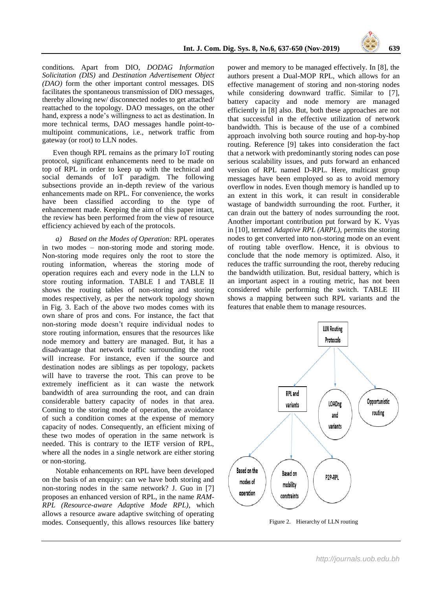

conditions. Apart from DIO, *DODAG Information Solicitation (DIS)* and *Destination Advertisement Object (DAO)* form the other important control messages. DIS facilitates the spontaneous transmission of DIO messages, thereby allowing new/ disconnected nodes to get attached/ reattached to the topology. DAO messages, on the other hand, express a node's willingness to act as destination. In more technical terms, DAO messages handle point-tomultipoint communications, i.e., network traffic from gateway (or root) to LLN nodes.

Even though RPL remains as the primary IoT routing protocol, significant enhancements need to be made on top of RPL in order to keep up with the technical and social demands of IoT paradigm. The following subsections provide an in-depth review of the various enhancements made on RPL. For convenience, the works have been classified according to the type of enhancement made. Keeping the aim of this paper intact, the review has been performed from the view of resource efficiency achieved by each of the protocols.

*a) Based on the Modes of Operation:* RPL operates in two modes – non-storing mode and storing mode. Non-storing mode requires only the root to store the routing information, whereas the storing mode of operation requires each and every node in the LLN to store routing information. TABLE I and TABLE II shows the routing tables of non-storing and storing modes respectively, as per the network topology shown in Fig. 3. Each of the above two modes comes with its own share of pros and cons. For instance, the fact that non-storing mode doesn't require individual nodes to store routing information, ensures that the resources like node memory and battery are managed. But, it has a disadvantage that network traffic surrounding the root will increase. For instance, even if the source and destination nodes are siblings as per topology, packets will have to traverse the root. This can prove to be extremely inefficient as it can waste the network bandwidth of area surrounding the root, and can drain considerable battery capacity of nodes in that area. Coming to the storing mode of operation, the avoidance of such a condition comes at the expense of memory capacity of nodes. Consequently, an efficient mixing of these two modes of operation in the same network is needed. This is contrary to the IETF version of RPL, where all the nodes in a single network are either storing or non-storing.

Notable enhancements on RPL have been developed on the basis of an enquiry: can we have both storing and non-storing nodes in the same network? J. Guo in [7] proposes an enhanced version of RPL, in the name *RAM-RPL (Resource-aware Adaptive Mode RPL)*, which allows a resource aware adaptive switching of operating modes. Consequently, this allows resources like battery power and memory to be managed effectively. In [8], the authors present a Dual-MOP RPL, which allows for an effective management of storing and non-storing nodes while considering downward traffic. Similar to [7], battery capacity and node memory are managed efficiently in [8] also. But, both these approaches are not that successful in the effective utilization of network bandwidth. This is because of the use of a combined approach involving both source routing and hop-by-hop routing. Reference [9] takes into consideration the fact that a network with predominantly storing nodes can pose serious scalability issues, and puts forward an enhanced version of RPL named D-RPL. Here, multicast group messages have been employed so as to avoid memory overflow in nodes. Even though memory is handled up to an extent in this work, it can result in considerable wastage of bandwidth surrounding the root. Further, it can drain out the battery of nodes surrounding the root. Another important contribution put forward by K. Vyas in [10], termed *Adaptive RPL (ARPL)*, permits the storing nodes to get converted into non-storing mode on an event of routing table overflow. Hence, it is obvious to conclude that the node memory is optimized. Also, it reduces the traffic surrounding the root, thereby reducing the bandwidth utilization. But, residual battery, which is an important aspect in a routing metric, has not been considered while performing the switch. TABLE III shows a mapping between such RPL variants and the features that enable them to manage resources.



Figure 2. Hierarchy of LLN routing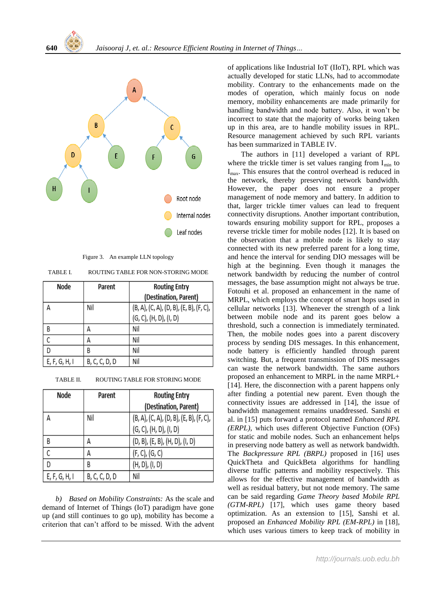

Figure 3. An example LLN topology

TABLE I. ROUTING TABLE FOR NON-STORING MODE

| Node          | Parent        | <b>Routing Entry</b>                    |
|---------------|---------------|-----------------------------------------|
|               |               | (Destination, Parent)                   |
| А             | Nil           | (B, A), (C, A), (D, B), (E, B), (F, C), |
|               |               | (G, C), (H, D), (I, D)                  |
| B             | Д             | Nil                                     |
|               | Д             | Nil                                     |
| n             | В             | Nil                                     |
| E, F, G, H, I | B, C, C, D, D | Nil                                     |

| TABLE II. | ROUTING TABLE FOR STORING MODE |  |
|-----------|--------------------------------|--|
|           |                                |  |

| Node          | Parent        | <b>Routing Entry</b>                    |
|---------------|---------------|-----------------------------------------|
|               |               | (Destination, Parent)                   |
| А             | Nil           | (B, A), (C, A), (D, B), (E, B), (F, C), |
|               |               | (G, C), (H, D), (I, D)                  |
| B             | А             | (D, B), (E, B), (H, D), (I, D)          |
|               | А             | (F, C), (G, C)                          |
| D             | B             | (H, D), (I, D)                          |
| E, F, G, H, I | B, C, C, D, D | Nil                                     |

*b) Based on Mobility Constraints:* As the scale and demand of Internet of Things (IoT) paradigm have gone up (and still continues to go up), mobility has become a criterion that can't afford to be missed. With the advent of applications like Industrial IoT (IIoT), RPL which was actually developed for static LLNs, had to accommodate mobility. Contrary to the enhancements made on the modes of operation, which mainly focus on node memory, mobility enhancements are made primarily for handling bandwidth and node battery. Also, it won't be incorrect to state that the majority of works being taken up in this area, are to handle mobility issues in RPL. Resource management achieved by such RPL variants has been summarized in TABLE IV.

The authors in [11] developed a variant of RPL where the trickle timer is set values ranging from  $I_{\min}$  to Imax. This ensures that the control overhead is reduced in the network, thereby preserving network bandwidth. However, the paper does not ensure a proper management of node memory and battery. In addition to that, larger trickle timer values can lead to frequent connectivity disruptions. Another important contribution, towards ensuring mobility support for RPL, proposes a reverse trickle timer for mobile nodes [12]. It is based on the observation that a mobile node is likely to stay connected with its new preferred parent for a long time, and hence the interval for sending DIO messages will be high at the beginning. Even though it manages the network bandwidth by reducing the number of control messages, the base assumption might not always be true. Fotouhi et al. proposed an enhancement in the name of MRPL, which employs the concept of smart hops used in cellular networks [13]. Whenever the strength of a link between mobile node and its parent goes below a threshold, such a connection is immediately terminated. Then, the mobile nodes goes into a parent discovery process by sending DIS messages. In this enhancement, node battery is efficiently handled through parent switching. But, a frequent transmission of DIS messages can waste the network bandwidth. The same authors proposed an enhancement to MRPL in the name MRPL+ [14]. Here, the disconnection with a parent happens only after finding a potential new parent. Even though the connectivity issues are addressed in [14], the issue of bandwidth management remains unaddressed. Sanshi et al. in [15] puts forward a protocol named *Enhanced RPL (ERPL)*, which uses different Objective Function (OFs) for static and mobile nodes. Such an enhancement helps in preserving node battery as well as network bandwidth. The *Backpressure RPL (BRPL)* proposed in [16] uses QuickTheta and QuickBeta algorithms for handling diverse traffic patterns and mobility respectively. This allows for the effective management of bandwidth as well as residual battery, but not node memory. The same can be said regarding *Game Theory based Mobile RPL (GTM-RPL)* [17], which uses game theory based optimization. As an extension to [15], Sanshi et al. proposed an *Enhanced Mobility RPL (EM-RPL)* in [18], which uses various timers to keep track of mobility in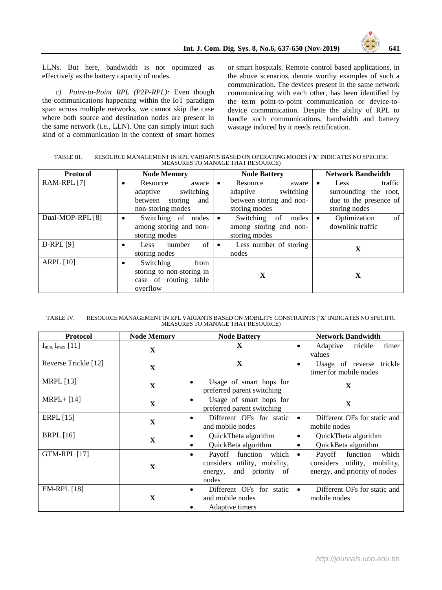

LLNs. But here, bandwidth is not optimized as effectively as the battery capacity of nodes.

*c) Point-to-Point RPL (P2P-RPL):* Even though the communications happening within the IoT paradigm span across multiple networks, we cannot skip the case where both source and destination nodes are present in the same network (i.e., LLN). One can simply intuit such kind of a communication in the context of smart homes or smart hospitals. Remote control based applications, in the above scenarios, denote worthy examples of such a communication. The devices present in the same network communicating with each other, has been identified by the term point-to-point communication or device-todevice communication. Despite the ability of RPL to handle such communications, bandwidth and battery wastage induced by it needs rectification.

TABLE III. RESOURCE MANAGEMENT IN RPL VARIANTS BASED ON OPERATING MODES ('**X**' INDICATES NO SPECIFIC MEASURES TO MANAGE THAT RESOURCE)

| <b>Protocol</b>  | <b>Node Memory</b>                                                                                     | <b>Node Battery</b>                                                                                  | <b>Network Bandwidth</b>                                                                 |
|------------------|--------------------------------------------------------------------------------------------------------|------------------------------------------------------------------------------------------------------|------------------------------------------------------------------------------------------|
| RAM-RPL [7]      | Resource<br>aware<br>$\bullet$<br>adaptive<br>switching<br>between storing<br>and<br>non-storing modes | Resource<br>aware<br>$\bullet$<br>switching<br>adaptive<br>between storing and non-<br>storing modes | traffic<br>Less<br>٠<br>surrounding the root,<br>due to the presence of<br>storing nodes |
| Dual-MOP-RPL [8] | Switching of nodes<br>$\bullet$<br>among storing and non-<br>storing modes                             | Switching<br>of<br>nodes<br>$\bullet$<br>among storing and non-<br>storing modes                     | Optimization<br>of<br>$\bullet$<br>downlink traffic                                      |
| $D-RPL[9]$       | of<br>number<br>Less<br>$\bullet$<br>storing nodes                                                     | Less number of storing<br>$\bullet$<br>nodes                                                         | X                                                                                        |
| <b>ARPL</b> [10] | Switching<br>from<br>$\bullet$<br>storing to non-storing in<br>case of routing table<br>overflow       | X                                                                                                    | X                                                                                        |

TABLE IV. RESOURCE MANAGEMENT IN RPL VARIANTS BASED ON MOBILITY CONSTRAINTS ('**X**' INDICATES NO SPECIFIC MEASURES TO MANAGE THAT RESOURCE)

| <b>Protocol</b>         | <b>Node Memory</b> | <b>Node Battery</b>                                                                                             | <b>Network Bandwidth</b>                                                                                     |  |
|-------------------------|--------------------|-----------------------------------------------------------------------------------------------------------------|--------------------------------------------------------------------------------------------------------------|--|
| $I_{min,} I_{max}$ [11] | $\mathbf{X}$       | X                                                                                                               | Adaptive<br>trickle<br>timer<br>values                                                                       |  |
| Reverse Trickle [12]    | $\mathbf X$        | $\mathbf X$                                                                                                     | Usage of reverse trickle<br>٠<br>timer for mobile nodes                                                      |  |
| <b>MRPL</b> [13]        | $\mathbf{X}$       | Usage of smart hops for<br>$\bullet$<br>preferred parent switching                                              | $\mathbf{x}$                                                                                                 |  |
| $MRPL + [14]$           | $\mathbf{X}$       | Usage of smart hops for<br>$\bullet$<br>preferred parent switching                                              | $\mathbf{X}$                                                                                                 |  |
| <b>ERPL</b> [15]        | $\mathbf{X}$       | Different OFs for static<br>$\bullet$<br>and mobile nodes                                                       | Different OFs for static and<br>$\bullet$<br>mobile nodes                                                    |  |
| <b>BRPL</b> [16]        | X                  | QuickTheta algorithm<br>$\bullet$<br>QuickBeta algorithm<br>$\bullet$                                           | QuickTheta algorithm<br>$\bullet$<br>QuickBeta algorithm<br>$\bullet$                                        |  |
| <b>GTM-RPL [17]</b>     | $\mathbf{X}$       | Payoff function<br>which<br>$\bullet$<br>considers utility, mobility,<br>and priority<br>of<br>energy,<br>nodes | Payoff<br>function<br>which<br>$\bullet$<br>considers<br>utility, mobility,<br>energy, and priority of nodes |  |
| <b>EM-RPL</b> [18]      | $\mathbf X$        | Different OFs for static<br>$\bullet$<br>and mobile nodes<br>Adaptive timers                                    | Different OFs for static and<br>$\bullet$<br>mobile nodes                                                    |  |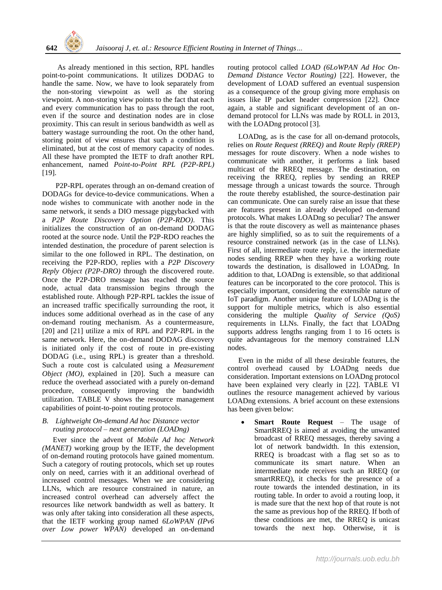

As already mentioned in this section, RPL handles point-to-point communications. It utilizes DODAG to handle the same. Now, we have to look separately from the non-storing viewpoint as well as the storing viewpoint. A non-storing view points to the fact that each and every communication has to pass through the root, even if the source and destination nodes are in close proximity. This can result in serious bandwidth as well as battery wastage surrounding the root. On the other hand, storing point of view ensures that such a condition is eliminated, but at the cost of memory capacity of nodes. All these have prompted the IETF to draft another RPL enhancement, named *Point-to-Point RPL (P2P-RPL)* [19].

P2P-RPL operates through an on-demand creation of DODAGs for device-to-device communications. When a node wishes to communicate with another node in the same network, it sends a DIO message piggybacked with a *P2P Route Discovery Option (P2P-RDO)*. This initializes the construction of an on-demand DODAG rooted at the source node. Until the P2P-RDO reaches the intended destination, the procedure of parent selection is similar to the one followed in RPL. The destination, on receiving the P2P-RDO, replies with a *P2P Discovery Reply Object (P2P-DRO)* through the discovered route. Once the P2P-DRO message has reached the source node, actual data transmission begins through the established route. Although P2P-RPL tackles the issue of an increased traffic specifically surrounding the root, it induces some additional overhead as in the case of any on-demand routing mechanism. As a countermeasure, [20] and [21] utilize a mix of RPL and P2P-RPL in the same network. Here, the on-demand DODAG discovery is initiated only if the cost of route in pre-existing DODAG (i.e., using RPL) is greater than a threshold. Such a route cost is calculated using a *Measurement Object (MO)*, explained in [20]. Such a measure can reduce the overhead associated with a purely on-demand procedure, consequently improving the bandwidth utilization. TABLE V shows the resource management capabilities of point-to-point routing protocols.

#### *B. Lightweight On-demand Ad hoc Distance vector routing protocol – next generation (LOADng)*

Ever since the advent of *Mobile Ad hoc Network (MANET)* working group by the IETF, the development of on-demand routing protocols have gained momentum. Such a category of routing protocols, which set up routes only on need, carries with it an additional overhead of increased control messages. When we are considering LLNs, which are resource constrained in nature, an increased control overhead can adversely affect the resources like network bandwidth as well as battery. It was only after taking into consideration all these aspects, that the IETF working group named *6LoWPAN (IPv6 over Low power WPAN)* developed an on-demand

routing protocol called *LOAD (6LoWPAN Ad Hoc On-Demand Distance Vector Routing)* [22]. However, the development of LOAD suffered an eventual suspension as a consequence of the group giving more emphasis on issues like IP packet header compression [22]. Once again, a stable and significant development of an ondemand protocol for LLNs was made by ROLL in 2013, with the LOADng protocol [3].

LOADng, as is the case for all on-demand protocols, relies on *Route Request (RREQ)* and *Route Reply (RREP)* messages for route discovery. When a node wishes to communicate with another, it performs a link based multicast of the RREQ message. The destination, on receiving the RREQ, replies by sending an RREP message through a unicast towards the source. Through the route thereby established, the source-destination pair can communicate. One can surely raise an issue that these are features present in already developed on-demand protocols. What makes LOADng so peculiar? The answer is that the route discovery as well as maintenance phases are highly simplified, so as to suit the requirements of a resource constrained network (as in the case of LLNs). First of all, intermediate route reply, i.e. the intermediate nodes sending RREP when they have a working route towards the destination, is disallowed in LOADng. In addition to that, LOADng is extensible, so that additional features can be incorporated to the core protocol. This is especially important, considering the extensible nature of IoT paradigm. Another unique feature of LOADng is the support for multiple metrics, which is also essential considering the multiple *Quality of Service (QoS)* requirements in LLNs. Finally, the fact that LOADng supports address lengths ranging from 1 to 16 octets is quite advantageous for the memory constrained LLN nodes.

Even in the midst of all these desirable features, the control overhead caused by LOADng needs due consideration. Important extensions on LOADng protocol have been explained very clearly in [22]. TABLE VI outlines the resource management achieved by various LOADng extensions. A brief account on these extensions has been given below:

 **Smart Route Request** – The usage of SmartRREQ is aimed at avoiding the unwanted broadcast of RREQ messages, thereby saving a lot of network bandwidth. In this extension, RREQ is broadcast with a flag set so as to communicate its smart nature. When an intermediate node receives such an RREQ (or smartRREQ), it checks for the presence of a route towards the intended destination, in its routing table. In order to avoid a routing loop, it is made sure that the next hop of that route is not the same as previous hop of the RREQ. If both of these conditions are met, the RREQ is unicast towards the next hop. Otherwise, it is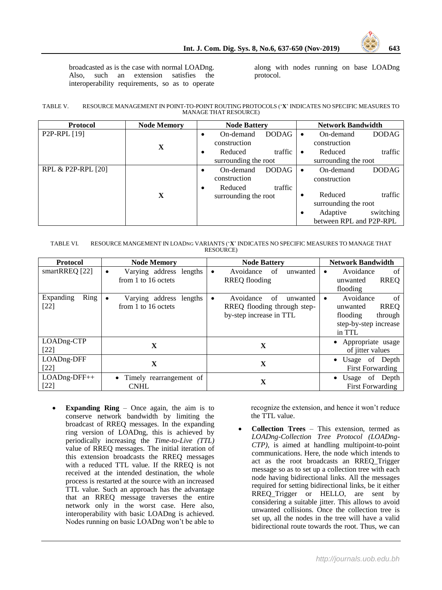

broadcasted as is the case with normal LOADng. Also, such an extension satisfies the interoperability requirements, so as to operate

along with nodes running on base LOADng protocol.

#### TABLE V. RESOURCE MANAGEMENT IN POINT-TO-POINT ROUTING PROTOCOLS ('**X**' INDICATES NO SPECIFIC MEASURES TO MANAGE THAT RESOURCE)

| <b>Protocol</b>           | <b>Node Memory</b> | <b>Network Bandwidth</b><br><b>Node Battery</b>                           |                                                                                                          |  |
|---------------------------|--------------------|---------------------------------------------------------------------------|----------------------------------------------------------------------------------------------------------|--|
| P <sub>2</sub> P-RPL [19] | $\mathbf X$        | <b>DODAG</b><br>On-demand<br>construction                                 | On-demand<br>DODAG<br>$\bullet$<br>construction                                                          |  |
|                           |                    | traffic<br>Reduced<br>٠<br>surrounding the root                           | traffic<br>Reduced<br>$\bullet$<br>surrounding the root                                                  |  |
| RPL & P2P-RPL [20]        |                    | <b>DODAG</b><br>On-demand<br>٠<br>construction<br>traffic<br>Reduced<br>٠ | <b>DODAG</b><br>On-demand<br>$\bullet$<br>construction                                                   |  |
|                           | X                  | surrounding the root                                                      | traffic<br>Reduced<br>٠<br>surrounding the root<br>switching<br>Adaptive<br>٠<br>between RPL and P2P-RPL |  |

| TABLE VI. | RESOURCE MANGEMENT IN LOADNG VARIANTS ('X' INDICATES NO SPECIFIC MEASURES TO MANAGE THAT |
|-----------|------------------------------------------------------------------------------------------|
|           | <b>RESOURCE</b> )                                                                        |

| <b>Protocol</b>             | <b>Node Memory</b>                                          | <b>Node Battery</b>                                                                   | <b>Network Bandwidth</b>                                                                             |
|-----------------------------|-------------------------------------------------------------|---------------------------------------------------------------------------------------|------------------------------------------------------------------------------------------------------|
| smartRREQ [22]              | Varying address lengths<br>٠<br>from 1 to 16 octets         | Avoidance<br>of<br>unwanted<br>٠<br><b>RREQ</b> flooding                              | Avoidance<br>of<br>٠<br><b>RREQ</b><br>unwanted<br>flooding                                          |
| Expanding<br>Ring<br>$[22]$ | Varying address lengths<br>$\bullet$<br>from 1 to 16 octets | Avoidance<br>of<br>unwanted<br>RREQ flooding through step-<br>by-step increase in TTL | of<br>Avoidance<br><b>RREO</b><br>unwanted<br>flooding<br>through<br>step-by-step increase<br>in TTL |
| LOADng-CTP<br>$[22]$        | X                                                           | X                                                                                     | • Appropriate usage<br>of jitter values                                                              |
| LOADng-DFF<br>$[22]$        | X                                                           | X                                                                                     | • Usage of Depth<br><b>First Forwarding</b>                                                          |
| LOADng-DFF++<br>$[22]$      | • Timely rearrangement of<br><b>CNHL</b>                    | X                                                                                     | Usage of Depth<br>$\bullet$<br><b>First Forwarding</b>                                               |

 **Expanding Ring** – Once again, the aim is to conserve network bandwidth by limiting the broadcast of RREQ messages. In the expanding ring version of LOADng, this is achieved by periodically increasing the *Time-to-Live (TTL)* value of RREQ messages. The initial iteration of this extension broadcasts the RREQ messages with a reduced TTL value. If the RREQ is not received at the intended destination, the whole process is restarted at the source with an increased TTL value. Such an approach has the advantage that an RREQ message traverses the entire network only in the worst case. Here also, interoperability with basic LOADng is achieved. Nodes running on basic LOADng won't be able to

recognize the extension, and hence it won't reduce the TTL value.

 **Collection Trees** – This extension, termed as *LOADng-Collection Tree Protocol (LOADng-CTP)*, is aimed at handling multipoint-to-point communications. Here, the node which intends to act as the root broadcasts an RREQ\_Trigger message so as to set up a collection tree with each node having bidirectional links. All the messages required for setting bidirectional links, be it either RREQ Trigger or HELLO, are sent by considering a suitable jitter. This allows to avoid unwanted collisions. Once the collection tree is set up, all the nodes in the tree will have a valid bidirectional route towards the root. Thus, we can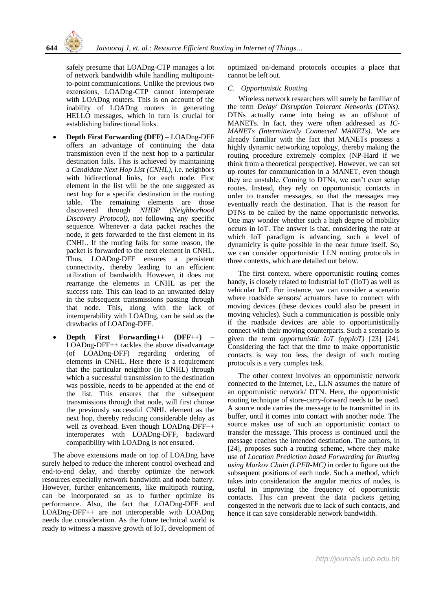

safely presume that LOADng-CTP manages a lot of network bandwidth while handling multipointto-point communications. Unlike the previous two extensions, LOADng-CTP cannot interoperate with LOADng routers. This is on account of the inability of LOADng routers in generating HELLO messages, which in turn is crucial for establishing bidirectional links.

- **Depth First Forwarding (DFF)** LOADng-DFF offers an advantage of continuing the data transmission even if the next hop to a particular destination fails. This is achieved by maintaining a *Candidate Next Hop List (CNHL)*, i.e. neighbors with bidirectional links, for each node. First element in the list will be the one suggested as next hop for a specific destination in the routing table. The remaining elements are those discovered through *NHDP (Neighborhood Discovery Protocol)*, not following any specific sequence. Whenever a data packet reaches the node, it gets forwarded to the first element in its CNHL. If the routing fails for some reason, the packet is forwarded to the next element in CNHL. Thus, LOADng-DFF ensures a persistent connectivity, thereby leading to an efficient utilization of bandwidth. However, it does not rearrange the elements in CNHL as per the success rate. This can lead to an unwanted delay in the subsequent transmissions passing through that node. This, along with the lack of interoperability with LOADng, can be said as the drawbacks of LOADng-DFF.
- **Depth First Forwarding++ (DFF++)** LOADng-DFF++ tackles the above disadvantage (of LOADng-DFF) regarding ordering of elements in CNHL. Here there is a requirement that the particular neighbor (in CNHL) through which a successful transmission to the destination was possible, needs to be appended at the end of the list. This ensures that the subsequent transmissions through that node, will first choose the previously successful CNHL element as the next hop, thereby reducing considerable delay as well as overhead. Even though LOADng-DFF++ interoperates with LOADng-DFF, backward compatibility with LOADng is not ensured.

The above extensions made on top of LOADng have surely helped to reduce the inherent control overhead and end-to-end delay, and thereby optimize the network resources especially network bandwidth and node battery. However, further enhancements, like multipath routing, can be incorporated so as to further optimize its performance. Also, the fact that LOADng-DFF and LOADng-DFF++ are not interoperable with LOADng needs due consideration. As the future technical world is ready to witness a massive growth of IoT, development of

optimized on-demand protocols occupies a place that cannot be left out.

## *C. Opportunistic Routing*

Wireless network researchers will surely be familiar of the term *Delay/ Disruption Tolerant Networks (DTNs)*. DTNs actually came into being as an offshoot of MANETs. In fact, they were often addressed as *IC-MANETs (Intermittently Connected MANETs)*. We are already familiar with the fact that MANETs possess a highly dynamic networking topology, thereby making the routing procedure extremely complex (NP-Hard if we think from a theoretical perspective). However, we can set up routes for communication in a MANET, even though they are unstable. Coming to DTNs, we can't even setup routes. Instead, they rely on opportunistic contacts in order to transfer messages, so that the messages may eventually reach the destination. That is the reason for DTNs to be called by the name opportunistic networks. One may wonder whether such a high degree of mobility occurs in IoT. The answer is that, considering the rate at which IoT paradigm is advancing, such a level of dynamicity is quite possible in the near future itself. So, we can consider opportunistic LLN routing protocols in three contexts, which are detailed out below.

The first context, where opportunistic routing comes handy, is closely related to Industrial IoT (IIoT) as well as vehicular IoT. For instance, we can consider a scenario where roadside sensors/ actuators have to connect with moving devices (these devices could also be present in moving vehicles). Such a communication is possible only if the roadside devices are able to opportunistically connect with their moving counterparts. Such a scenario is given the term *opportunistic IoT (oppIoT)* [23] [24]. Considering the fact that the time to make opportunistic contacts is way too less, the design of such routing protocols is a very complex task.

The other context involves an opportunistic network connected to the Internet, i.e., LLN assumes the nature of an opportunistic network/ DTN. Here, the opportunistic routing technique of store-carry-forward needs to be used. A source node carries the message to be transmitted in its buffer, until it comes into contact with another node. The source makes use of such an opportunistic contact to transfer the message. This process is continued until the message reaches the intended destination. The authors, in [24], proposes such a routing scheme, where they make use of *Location Prediction based Forwarding for Routing using Markov Chain (LPFR-MC)* in order to figure out the subsequent positions of each node. Such a method, which takes into consideration the angular metrics of nodes, is useful in improving the frequency of opportunistic contacts. This can prevent the data packets getting congested in the network due to lack of such contacts, and hence it can save considerable network bandwidth.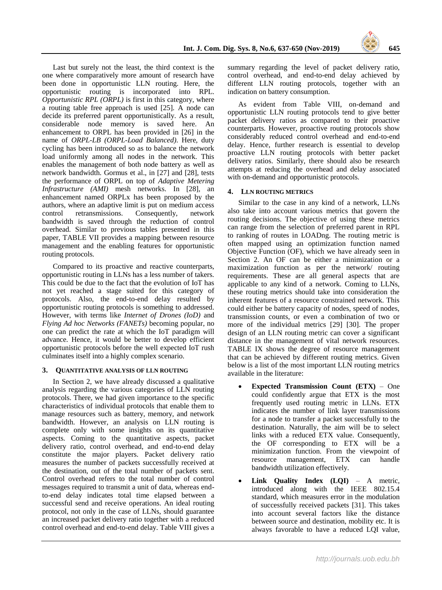

Last but surely not the least, the third context is the one where comparatively more amount of research have been done in opportunistic LLN routing. Here, the opportunistic routing is incorporated into RPL. *Opportunistic RPL (ORPL)* is first in this category, where a routing table free approach is used [25]. A node can decide its preferred parent opportunistically. As a result, considerable node memory is saved here. An enhancement to ORPL has been provided in [26] in the name of *ORPL-LB (ORPL-Load Balanced)*. Here, duty cycling has been introduced so as to balance the network load uniformly among all nodes in the network. This enables the management of both node battery as well as network bandwidth. Gormus et al., in [27] and [28], tests the performance of ORPL on top of *Adaptive Metering Infrastructure (AMI)* mesh networks. In [28], an enhancement named ORPLx has been proposed by the authors, where an adaptive limit is put on medium access control retransmissions. Consequently, network bandwidth is saved through the reduction of control overhead. Similar to previous tables presented in this paper, TABLE VII provides a mapping between resource management and the enabling features for opportunistic routing protocols.

Compared to its proactive and reactive counterparts, opportunistic routing in LLNs has a less number of takers. This could be due to the fact that the evolution of IoT has not yet reached a stage suited for this category of protocols. Also, the end-to-end delay resulted by opportunistic routing protocols is something to addressed. However, with terms like *Internet of Drones (IoD)* and *Flying Ad hoc Networks (FANETs)* becoming popular, no one can predict the rate at which the IoT paradigm will advance. Hence, it would be better to develop efficient opportunistic protocols before the well expected IoT rush culminates itself into a highly complex scenario.

#### **3. QUANTITATIVE ANALYSIS OF LLN ROUTING**

In Section 2, we have already discussed a qualitative analysis regarding the various categories of LLN routing protocols. There, we had given importance to the specific characteristics of individual protocols that enable them to manage resources such as battery, memory, and network bandwidth. However, an analysis on LLN routing is complete only with some insights on its quantitative aspects. Coming to the quantitative aspects, packet delivery ratio, control overhead, and end-to-end delay constitute the major players. Packet delivery ratio measures the number of packets successfully received at the destination, out of the total number of packets sent. Control overhead refers to the total number of control messages required to transmit a unit of data, whereas endto-end delay indicates total time elapsed between a successful send and receive operations. An ideal routing protocol, not only in the case of LLNs, should guarantee an increased packet delivery ratio together with a reduced control overhead and end-to-end delay. Table VIII gives a

summary regarding the level of packet delivery ratio, control overhead, and end-to-end delay achieved by different LLN routing protocols, together with an indication on battery consumption.

As evident from Table VIII, on-demand and opportunistic LLN routing protocols tend to give better packet delivery ratios as compared to their proactive counterparts. However, proactive routing protocols show considerably reduced control overhead and end-to-end delay. Hence, further research is essential to develop proactive LLN routing protocols with better packet delivery ratios. Similarly, there should also be research attempts at reducing the overhead and delay associated with on-demand and opportunistic protocols.

## **4. LLN ROUTING METRICS**

Similar to the case in any kind of a network, LLNs also take into account various metrics that govern the routing decisions. The objective of using these metrics can range from the selection of preferred parent in RPL to ranking of routes in LOADng. The routing metric is often mapped using an optimization function named Objective Function (OF), which we have already seen in Section 2. An OF can be either a minimization or a maximization function as per the network/ routing requirements. These are all general aspects that are applicable to any kind of a network. Coming to LLNs, these routing metrics should take into consideration the inherent features of a resource constrained network. This could either be battery capacity of nodes, speed of nodes, transmission counts, or even a combination of two or more of the individual metrics [29] [30]. The proper design of an LLN routing metric can cover a significant distance in the management of vital network resources. TABLE IX shows the degree of resource management that can be achieved by different routing metrics. Given below is a list of the most important LLN routing metrics available in the literature:

- **Expected Transmission Count (ETX)** One could confidently argue that ETX is the most frequently used routing metric in LLNs. ETX indicates the number of link layer transmissions for a node to transfer a packet successfully to the destination. Naturally, the aim will be to select links with a reduced ETX value. Consequently, the OF corresponding to ETX will be a minimization function. From the viewpoint of resource management, ETX can handle bandwidth utilization effectively.
- **Link Quality Index (LQI)**  A metric, introduced along with the IEEE 802.15.4 standard, which measures error in the modulation of successfully received packets [31]. This takes into account several factors like the distance between source and destination, mobility etc. It is always favorable to have a reduced LQI value,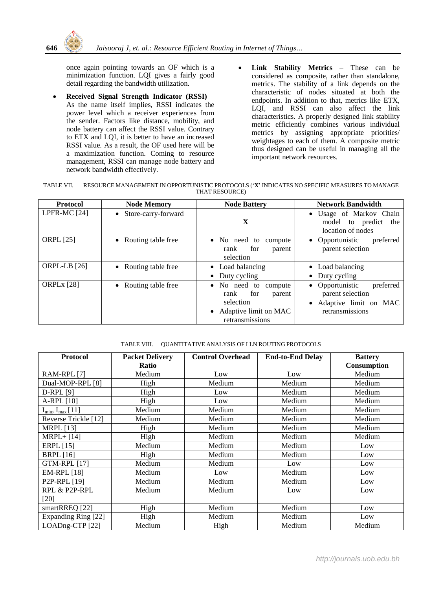once again pointing towards an OF which is a minimization function. LQI gives a fairly good detail regarding the bandwidth utilization.

- **Received Signal Strength Indicator (RSSI)** As the name itself implies, RSSI indicates the power level which a receiver experiences from the sender. Factors like distance, mobility, and node battery can affect the RSSI value. Contrary to ETX and LQI, it is better to have an increased RSSI value. As a result, the OF used here will be a maximization function. Coming to resource management, RSSI can manage node battery and network bandwidth effectively.
- **Link Stability Metrics** These can be considered as composite, rather than standalone, metrics. The stability of a link depends on the characteristic of nodes situated at both the endpoints. In addition to that, metrics like ETX, LQI, and RSSI can also affect the link characteristics. A properly designed link stability metric efficiently combines various individual metrics by assigning appropriate priorities/ weightages to each of them. A composite metric thus designed can be useful in managing all the important network resources.

| <b>TABLE VII.</b> | RESOURCE MANAGEMENT IN OPPORTUNISTIC PROTOCOLS ('X' INDICATES NO SPECIFIC MEASURES TO MANAGE |
|-------------------|----------------------------------------------------------------------------------------------|
|                   | THAT RESOURCE)                                                                               |

| <b>Protocol</b>     | <b>Node Memory</b>    | <b>Node Battery</b>                                                                                      | <b>Network Bandwidth</b>                                                                       |
|---------------------|-----------------------|----------------------------------------------------------------------------------------------------------|------------------------------------------------------------------------------------------------|
| LPFR-MC [24]        | • Store-carry-forward | X                                                                                                        | • Usage of Markov Chain<br>model to predict the<br>location of nodes                           |
| <b>ORPL</b> [25]    | • Routing table free  | • No need to compute<br>rank<br>for<br>parent<br>selection                                               | • Opportunistic<br>preferred<br>parent selection                                               |
| <b>ORPL-LB</b> [26] | • Routing table free  | • Load balancing<br>• Duty cycling                                                                       | • Load balancing<br>Duty cycling                                                               |
| <b>ORPLx</b> [28]   | • Routing table free  | • No need to compute<br>for<br>rank<br>parent<br>selection<br>• Adaptive limit on MAC<br>retransmissions | • Opportunistic<br>preferred<br>parent selection<br>• Adaptive limit on MAC<br>retransmissions |

#### TABLE VIII. QUANTITATIVE ANALYSIS OF LLN ROUTING PROTOCOLS

| <b>Protocol</b>                         | <b>Packet Delivery</b> | <b>Control Overhead</b> | <b>End-to-End Delay</b> | <b>Battery</b> |
|-----------------------------------------|------------------------|-------------------------|-------------------------|----------------|
|                                         | Ratio                  |                         |                         | Consumption    |
| RAM-RPL [7]                             | Medium                 | Low                     | Low                     | Medium         |
| Dual-MOP-RPL [8]                        | High                   | Medium                  | Medium                  | Medium         |
| $D-RPL[9]$                              | High                   | Low                     | Medium                  | Medium         |
| $A-RPL$ [10]                            | High                   | Low                     | Medium                  | Medium         |
| $I_{\text{min}}$ , $I_{\text{max}}[11]$ | Medium                 | Medium                  | Medium                  | Medium         |
| Reverse Trickle [12]                    | Medium                 | Medium                  | Medium                  | Medium         |
| <b>MRPL</b> [13]                        | High                   | Medium                  | Medium                  | Medium         |
| $MRPL + [14]$                           | High                   | Medium                  | Medium                  | Medium         |
| <b>ERPL</b> [15]                        | Medium                 | Medium                  | Medium                  | Low            |
| <b>BRPL</b> [16]                        | High                   | Medium                  | Medium                  | Low            |
| <b>GTM-RPL [17]</b>                     | Medium                 | Medium                  | Low                     | Low            |
| <b>EM-RPL</b> [18]                      | Medium                 | Low                     | Medium                  | Low            |
| P <sub>2</sub> P-RPL [19]               | Medium                 | Medium                  | Medium                  | Low            |
| RPL & P2P-RPL                           | Medium                 | Medium                  | Low                     | Low            |
| $[20]$                                  |                        |                         |                         |                |
| smartRREQ [22]                          | High                   | Medium                  | Medium                  | Low            |
| Expanding Ring [22]                     | High                   | Medium                  | Medium                  | Low            |
| LOADng-CTP [22]                         | Medium                 | High                    | Medium                  | Medium         |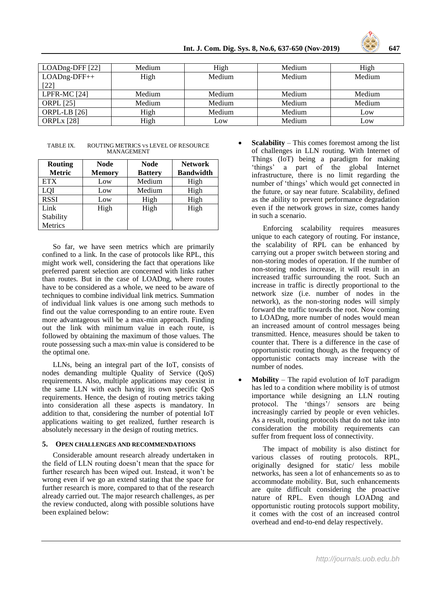

| LOADng-DFF [22]     | Medium | High   | Medium | High   |
|---------------------|--------|--------|--------|--------|
| $LOADng-DFF++$      | High   | Medium | Medium | Medium |
| $[22]$              |        |        |        |        |
| LPFR-MC [24]        | Medium | Medium | Medium | Medium |
| <b>ORPL</b> [25]    | Medium | Medium | Medium | Medium |
| <b>ORPL-LB</b> [26] | High   | Medium | Medium | Low    |
| <b>ORPLx</b> [28]   | High   | Low    | Medium | Low    |

TABLE IX. ROUTING METRICS VS LEVEL OF RESOURCE MANAGEMENT

| <b>Routing</b> | Node          | <b>Node</b>    | <b>Network</b>   |
|----------------|---------------|----------------|------------------|
| <b>Metric</b>  | <b>Memory</b> | <b>Battery</b> | <b>Bandwidth</b> |
| <b>ETX</b>     | Low           | Medium         | High             |
| LOI            | Low           | Medium         | High             |
| <b>RSSI</b>    | Low           | High           | High             |
| Link           | High          | High           | High             |
| Stability      |               |                |                  |
| Metrics        |               |                |                  |

So far, we have seen metrics which are primarily confined to a link. In the case of protocols like RPL, this might work well, considering the fact that operations like preferred parent selection are concerned with links rather than routes. But in the case of LOADng, where routes have to be considered as a whole, we need to be aware of techniques to combine individual link metrics. Summation of individual link values is one among such methods to find out the value corresponding to an entire route. Even more advantageous will be a max-min approach. Finding out the link with minimum value in each route, is followed by obtaining the maximum of those values. The route possessing such a max-min value is considered to be the optimal one.

LLNs, being an integral part of the IoT, consists of nodes demanding multiple Quality of Service (QoS) requirements. Also, multiple applications may coexist in the same LLN with each having its own specific QoS requirements. Hence, the design of routing metrics taking into consideration all these aspects is mandatory. In addition to that, considering the number of potential IoT applications waiting to get realized, further research is absolutely necessary in the design of routing metrics.

#### **5. OPEN CHALLENGES AND RECOMMENDATIONS**

Considerable amount research already undertaken in the field of LLN routing doesn't mean that the space for further research has been wiped out. Instead, it won't be wrong even if we go an extend stating that the space for further research is more, compared to that of the research already carried out. The major research challenges, as per the review conducted, along with possible solutions have been explained below:

 **Scalability** – This comes foremost among the list of challenges in LLN routing. With Internet of Things (IoT) being a paradigm for making 'things' a part of the global Internet infrastructure, there is no limit regarding the number of 'things' which would get connected in the future, or say near future. Scalability, defined as the ability to prevent performance degradation even if the network grows in size, comes handy in such a scenario.

 Enforcing scalability requires measures unique to each category of routing. For instance, the scalability of RPL can be enhanced by carrying out a proper switch between storing and non-storing modes of operation. If the number of non-storing nodes increase, it will result in an increased traffic surrounding the root. Such an increase in traffic is directly proportional to the network size (i.e. number of nodes in the network), as the non-storing nodes will simply forward the traffic towards the root. Now coming to LOADng, more number of nodes would mean an increased amount of control messages being transmitted. Hence, measures should be taken to counter that. There is a difference in the case of opportunistic routing though, as the frequency of opportunistic contacts may increase with the number of nodes.

 **Mobility** – The rapid evolution of IoT paradigm has led to a condition where mobility is of utmost importance while designing an LLN routing protocol. The 'things'/ sensors are being increasingly carried by people or even vehicles. As a result, routing protocols that do not take into consideration the mobility requirements can suffer from frequent loss of connectivity.

 The impact of mobility is also distinct for various classes of routing protocols. RPL, originally designed for static/ less mobile networks, has seen a lot of enhancements so as to accommodate mobility. But, such enhancements are quite difficult considering the proactive nature of RPL. Even though LOADng and opportunistic routing protocols support mobility, it comes with the cost of an increased control overhead and end-to-end delay respectively.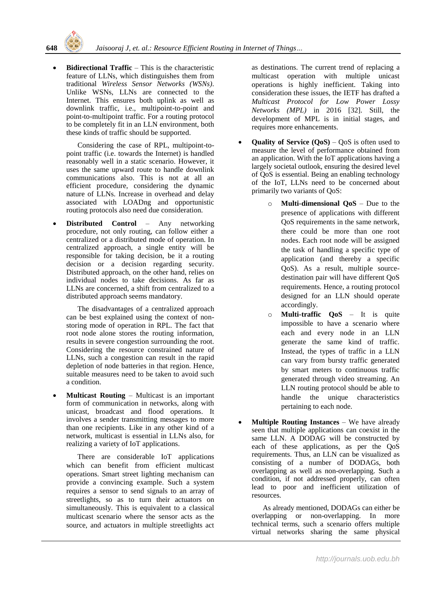**Bidirectional Traffic** – This is the characteristic feature of LLNs, which distinguishes them from traditional *Wireless Sensor Networks (WSNs)*. Unlike WSNs, LLNs are connected to the Internet. This ensures both uplink as well as downlink traffic, i.e., multipoint-to-point and point-to-multipoint traffic. For a routing protocol to be completely fit in an LLN environment, both these kinds of traffic should be supported.

 Considering the case of RPL, multipoint-topoint traffic (i.e. towards the Internet) is handled reasonably well in a static scenario. However, it uses the same upward route to handle downlink communications also. This is not at all an efficient procedure, considering the dynamic nature of LLNs. Increase in overhead and delay associated with LOADng and opportunistic routing protocols also need due consideration.

 **Distributed Control** – Any networking procedure, not only routing, can follow either a centralized or a distributed mode of operation. In centralized approach, a single entity will be responsible for taking decision, be it a routing decision or a decision regarding security. Distributed approach, on the other hand, relies on individual nodes to take decisions. As far as LLNs are concerned, a shift from centralized to a distributed approach seems mandatory.

 The disadvantages of a centralized approach can be best explained using the context of nonstoring mode of operation in RPL. The fact that root node alone stores the routing information, results in severe congestion surrounding the root. Considering the resource constrained nature of LLNs, such a congestion can result in the rapid depletion of node batteries in that region. Hence, suitable measures need to be taken to avoid such a condition.

 **Multicast Routing** – Multicast is an important form of communication in networks, along with unicast, broadcast and flood operations. It involves a sender transmitting messages to more than one recipients. Like in any other kind of a network, multicast is essential in LLNs also, for realizing a variety of IoT applications.

 There are considerable IoT applications which can benefit from efficient multicast operations. Smart street lighting mechanism can provide a convincing example. Such a system requires a sensor to send signals to an array of streetlights, so as to turn their actuators on simultaneously. This is equivalent to a classical multicast scenario where the sensor acts as the source, and actuators in multiple streetlights act

as destinations. The current trend of replacing a multicast operation with multiple unicast operations is highly inefficient. Taking into consideration these issues, the IETF has drafted a *Multicast Protocol for Low Power Lossy Networks (MPL)* in 2016 [32]. Still, the development of MPL is in initial stages, and requires more enhancements.

- **Quality of Service (QoS)** QoS is often used to measure the level of performance obtained from an application. With the IoT applications having a largely societal outlook, ensuring the desired level of QoS is essential. Being an enabling technology of the IoT, LLNs need to be concerned about primarily two variants of QoS:
	- o **Multi-dimensional QoS** Due to the presence of applications with different QoS requirements in the same network, there could be more than one root nodes. Each root node will be assigned the task of handling a specific type of application (and thereby a specific QoS). As a result, multiple sourcedestination pair will have different QoS requirements. Hence, a routing protocol designed for an LLN should operate accordingly.
	- o **Multi-traffic QoS** It is quite impossible to have a scenario where each and every node in an LLN generate the same kind of traffic. Instead, the types of traffic in a LLN can vary from bursty traffic generated by smart meters to continuous traffic generated through video streaming. An LLN routing protocol should be able to handle the unique characteristics pertaining to each node.
- **Multiple Routing Instances** We have already seen that multiple applications can coexist in the same LLN. A DODAG will be constructed by each of these applications, as per the QoS requirements. Thus, an LLN can be visualized as consisting of a number of DODAGs, both overlapping as well as non-overlapping. Such a condition, if not addressed properly, can often lead to poor and inefficient utilization of resources.

 As already mentioned, DODAGs can either be overlapping or non-overlapping. In more technical terms, such a scenario offers multiple virtual networks sharing the same physical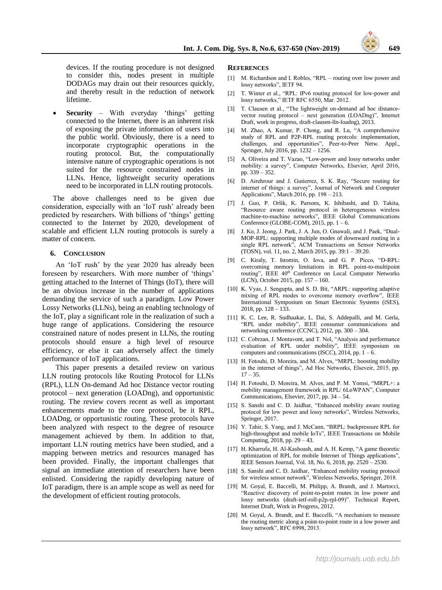devices. If the routing procedure is not designed to consider this, nodes present in multiple DODAGs may drain out their resources quickly, and thereby result in the reduction of network lifetime.

 **Security** – With everyday 'things' getting connected to the Internet, there is an inherent risk of exposing the private information of users into the public world. Obviously, there is a need to incorporate cryptographic operations in the routing protocol. But, the computationally intensive nature of cryptographic operations is not suited for the resource constrained nodes in LLNs. Hence, lightweight security operations need to be incorporated in LLN routing protocols.

The above challenges need to be given due consideration, especially with an 'IoT rush' already been predicted by researchers. With billions of 'things' getting connected to the Internet by 2020, development of scalable and efficient LLN routing protocols is surely a matter of concern.

#### **6. CONCLUSION**

An 'IoT rush' by the year 2020 has already been foreseen by researchers. With more number of 'things' getting attached to the Internet of Things (IoT), there will be an obvious increase in the number of applications demanding the service of such a paradigm. Low Power Lossy Networks (LLNs), being an enabling technology of the IoT, play a significant role in the realization of such a huge range of applications. Considering the resource constrained nature of nodes present in LLNs, the routing protocols should ensure a high level of resource efficiency, or else it can adversely affect the timely performance of IoT applications.

This paper presents a detailed review on various LLN routing protocols like Routing Protocol for LLNs (RPL), LLN On-demand Ad hoc Distance vector routing protocol – next generation (LOADng), and opportunistic routing. The review covers recent as well as important enhancements made to the core protocol, be it RPL, LOADng, or opportunistic routing. These protocols have been analyzed with respect to the degree of resource management achieved by them. In addition to that, important LLN routing metrics have been studied, and a mapping between metrics and resources managed has been provided. Finally, the important challenges that signal an immediate attention of researchers have been enlisted. Considering the rapidly developing nature of IoT paradigm, there is an ample scope as well as need for the development of efficient routing protocols.

#### **REFERENCES**

- M. Richardson and I. Robles, "RPL routing over low power and lossy networks", IETF 94.
- [2] T. Winter et al., "RPL: IPv6 routing protocol for low-power and lossy networks," IETF RFC 6550, Mar. 2012.
- [3] T. Clausen et al., "The lightweight on-demand ad hoc distancevector routing protocol – next generation (LOADng)", Internet Draft, work in progress, draft-clausen-lln-loadng), 2013.
- [4] M. Zhao, A. Kumar, P. Chong, and R. Lu, "A comprehensive study of RPL and P2P-RPL routing protcols: implementation, challenges, and opportunities", Peer-to-Peer Netw. Appl., Springer, July 2016, pp. 1232 – 1256.
- [5] A. Oliveira and T. Vazao, "Low-power and lossy networks under mobility: a survey", Computer Networks, Elsevier, April 2016, pp. 339 – 352.
- [6] D. Airehrour and J. Gutierrez, S. K. Ray, "Secure routing for internet of things: a survey", Journal of Network and Computer Applications", March 2016, pp. 198 – 213.
- [7] J. Guo, P. Orlik, K. Parsons, K. Ishibashi, and D. Takita, "Resource aware routing protocol in heterogeneous wireless machine-to-machine networks", IEEE Global Communications Conference (GLOBE-COM), 2015, pp. 1 – 6.
- [8] J. Ko, J. Jeong, J. Park, J. A. Jun, O. Gnawali, and J. Paek, "Dual-MOP-RPL: supporting multiple modes of downward routing in a single RPL network", ACM Transactions on Sensor Networks (TOSN), vol. 11, no. 2, March 2015, pp. 39:1 – 39:20.
- [9] C. Kiraly, T. Istomin, O. Iova, and G. P. Picco, "D-RPL: overcoming memory limitations in RPL point-to-multipoint routing", IEEE 40<sup>th</sup> Conference on Local Computer Networks (LCN), October 2015, pp. 157 – 160.
- [10] K. Vyas, J. Sengupta, and S. D. Bit, "ARPL: supporting adaptive mixing of RPL modes to overcome memory overflow", IEEE International Symposium on Smart Electronic Systems (iSES), 2018, pp. 128 – 133.
- [11] K. C. Lee, R. Sudhaakar, L. Dai, S. Addepalli, and M. Gerla, "RPL under mobility", IEEE consumer communications and networking conference (CCNC), 2012, pp. 300 – 304.
- [12] C. Cobrzan, J. Montavont, and T. Nol, "Analysis and performance evaluation of RPL under mobility", IEEE symposium on computers and communications (ISCC), 2014, pp.  $1 - 6$ .
- [13] H. Fotouhi, D. Moreira, and M. Alves, "MRPL: boosting mobility in the internet of things", Ad Hoc Networks, Elseveir, 2015, pp.  $17 - 35$ .
- [14] H. Fotouhi, D. Moreira, M. Alves, and P. M. Yomsi, "MRPL+: a mobility management framework in RPL/ 6LoWPAN", Computer Communications, Elsevier, 2017, pp. 34 – 54.
- [15] S. Sanshi and C. D. Jaidhar, "Enhanced mobility aware routing protocol for low power and lossy networks", Wireless Networks, Springer, 2017.
- [16] Y. Tahir, S. Yang, and J. McCann, "BRPL: backpressure RPL for high-throughput and mobile IoTs", IEEE Transactions on Mobile Computing, 2018, pp. 29 – 43.
- [17] H. Kharrufa, H. Al-Kashoash, and A. H. Kemp, "A game theoretic optimization of RPL for mobile Internet of Things applications", IEEE Sensors Journal, Vol. 18, No. 6, 2018, pp. 2520 – 2530.
- [18] S. Sanshi and C. D. Jaidhar, "Enhanced mobility routing protocol for wireless sensor network", Wireless Networks, Springer, 2018.
- [19] M. Goyal, E. Baccelli, M. Philipp, A. Brandt, and J. Martocci, "Reactive discovery of point-to-point routes in low power and lossy networks (draft-ietf-roll-p2p-rpl-09)". Technical Report, Internet Draft, Work in Progress, 2012.
- [20] M. Goyal, A. Brandt, and E. Baccelli, "A mechanism to measure the routing metric along a point-to-point route in a low power and lossy network", RFC 6998, 2013.